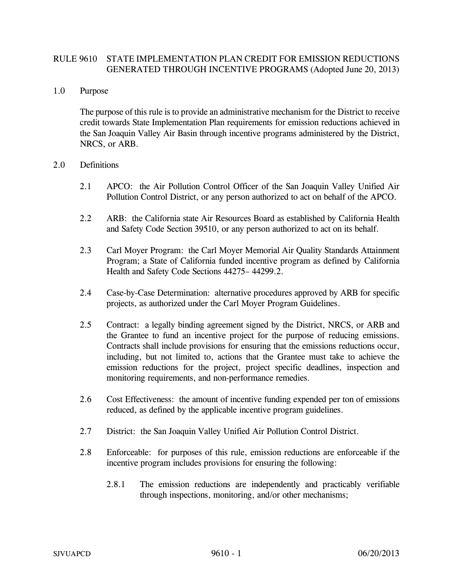## RULE 9610 STATE IMPLEMENTATION PLAN CREDIT FOR EMISSION REDUCTIONS GENERATED THROUGH INCENTIVE PROGRAMS (Adopted June 20, 2013)

## 1.0 Purpose

The purpose of this rule is to provide an administrative mechanism for the District to receive credit towards State Implementation Plan requirements for emission reductions achieved in the San Joaquin Valley Air Basin through incentive programs administered by the District, NRCS, or ARB.

## 2.0 Definitions

- 2.1 APCO: the Air Pollution Control Officer of the San Joaquin Valley Unified Air Pollution Control District, or any person authorized to act on behalf of the APCO.
- 2.2 ARB: the California state Air Resources Board as established by California Health and Safety Code Section 39510, or any person authorized to act on its behalf.
- 2.3 Carl Moyer Program: the Carl Moyer Memorial Air Quality Standards Attainment Program; a State of California funded incentive program as defined by California Health and Safety Code Sections 44275– 44299.2.
- 2.4 Case-by-Case Determination: alternative procedures approved by ARB for specific projects, as authorized under the Carl Moyer Program Guidelines.
- 2.5 Contract: a legally binding agreement signed by the District, NRCS, or ARB and the Grantee to fund an incentive project for the purpose of reducing emissions. Contracts shall include provisions for ensuring that the emissions reductions occur, including, but not limited to, actions that the Grantee must take to achieve the emission reductions for the project, project specific deadlines, inspection and monitoring requirements, and non-performance remedies.
- 2.6 Cost Effectiveness: the amount of incentive funding expended per ton of emissions reduced, as defined by the applicable incentive program guidelines.
- 2.7 District: the San Joaquin Valley Unified Air Pollution Control District.
- 2.8 Enforceable: for purposes of this rule, emission reductions are enforceable if the incentive program includes provisions for ensuring the following:
	- 2.8.1 The emission reductions are independently and practicably verifiable through inspections, monitoring, and/or other mechanisms;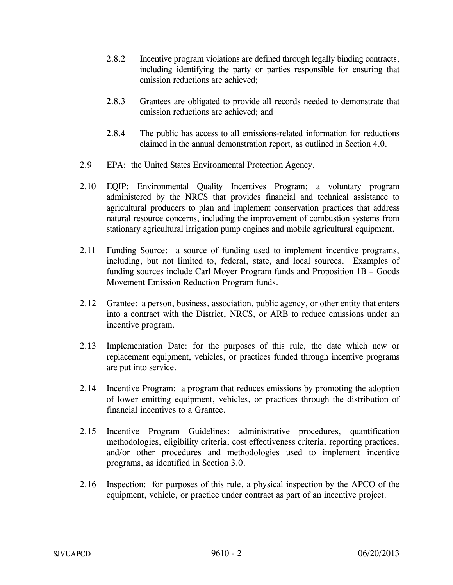- 2.8.2 Incentive program violations are defined through legally binding contracts, including identifying the party or parties responsible for ensuring that emission reductions are achieved;
- 2.8.3 Grantees are obligated to provide all records needed to demonstrate that emission reductions are achieved; and
- 2.8.4 The public has access to all emissions-related information for reductions claimed in the annual demonstration report, as outlined in Section 4.0.
- 2.9 EPA: the United States Environmental Protection Agency.
- 2.10 EQIP: Environmental Quality Incentives Program; a voluntary program administered by the NRCS that provides financial and technical assistance to agricultural producers to plan and implement conservation practices that address natural resource concerns, including the improvement of combustion systems from stationary agricultural irrigation pump engines and mobile agricultural equipment.
- 2.11 Funding Source: a source of funding used to implement incentive programs, including, but not limited to, federal, state, and local sources. Examples of funding sources include Carl Moyer Program funds and Proposition 1B – Goods Movement Emission Reduction Program funds.
- 2.12 Grantee: a person, business, association, public agency, or other entity that enters into a contract with the District, NRCS, or ARB to reduce emissions under an incentive program.
- 2.13 Implementation Date: for the purposes of this rule, the date which new or replacement equipment, vehicles, or practices funded through incentive programs are put into service.
- 2.14 Incentive Program: a program that reduces emissions by promoting the adoption of lower emitting equipment, vehicles, or practices through the distribution of financial incentives to a Grantee.
- 2.15 Incentive Program Guidelines: administrative procedures, quantification methodologies, eligibility criteria, cost effectiveness criteria, reporting practices, and/or other procedures and methodologies used to implement incentive programs, as identified in Section 3.0.
- 2.16 Inspection: for purposes of this rule, a physical inspection by the APCO of the equipment, vehicle, or practice under contract as part of an incentive project.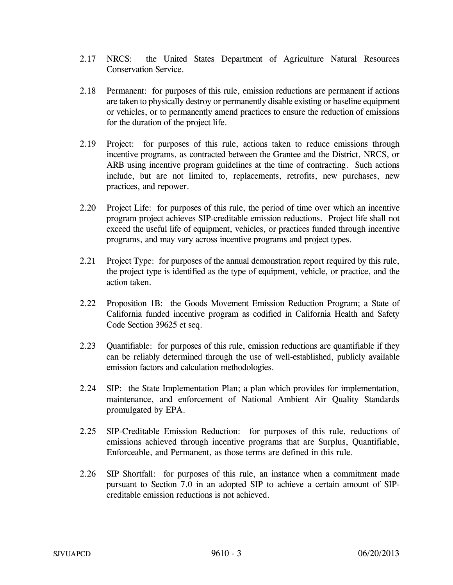- 2.17 NRCS: the United States Department of Agriculture Natural Resources Conservation Service.
- 2.18 Permanent: for purposes of this rule, emission reductions are permanent if actions are taken to physically destroy or permanently disable existing or baseline equipment or vehicles, or to permanently amend practices to ensure the reduction of emissions for the duration of the project life.
- 2.19 Project: for purposes of this rule, actions taken to reduce emissions through incentive programs, as contracted between the Grantee and the District, NRCS, or ARB using incentive program guidelines at the time of contracting. Such actions include, but are not limited to, replacements, retrofits, new purchases, new practices, and repower.
- 2.20 Project Life: for purposes of this rule, the period of time over which an incentive program project achieves SIP-creditable emission reductions. Project life shall not exceed the useful life of equipment, vehicles, or practices funded through incentive programs, and may vary across incentive programs and project types.
- 2.21 Project Type: for purposes of the annual demonstration report required by this rule, the project type is identified as the type of equipment, vehicle, or practice, and the action taken.
- 2.22 Proposition 1B: the Goods Movement Emission Reduction Program; a State of California funded incentive program as codified in California Health and Safety Code Section 39625 et seq.
- 2.23 Quantifiable: for purposes of this rule, emission reductions are quantifiable if they can be reliably determined through the use of well-established, publicly available emission factors and calculation methodologies.
- 2.24 SIP: the State Implementation Plan; a plan which provides for implementation, maintenance, and enforcement of National Ambient Air Quality Standards promulgated by EPA.
- 2.25 SIP-Creditable Emission Reduction: for purposes of this rule, reductions of emissions achieved through incentive programs that are Surplus, Quantifiable, Enforceable, and Permanent, as those terms are defined in this rule.
- 2.26 SIP Shortfall: for purposes of this rule, an instance when a commitment made pursuant to Section 7.0 in an adopted SIP to achieve a certain amount of SIPcreditable emission reductions is not achieved.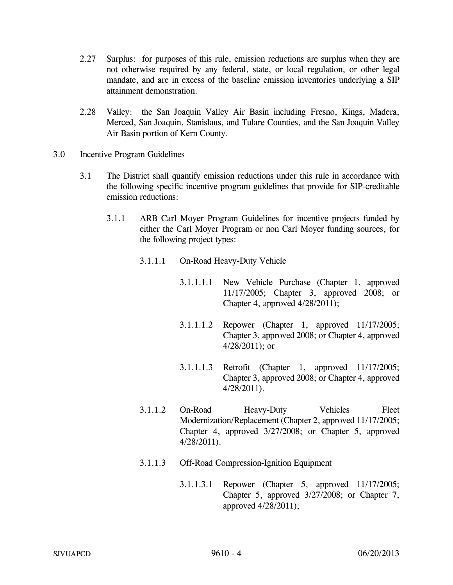- 2.27 Surplus: for purposes of this rule, emission reductions are surplus when they are not otherwise required by any federal, state, or local regulation, or other legal mandate, and are in excess of the baseline emission inventories underlying a SIP attainment demonstration.
- 2.28 Valley: the San Joaquin Valley Air Basin including Fresno, Kings, Madera, Merced, San Joaquin, Stanislaus, and Tulare Counties, and the San Joaquin Valley Air Basin portion of Kern County.
- 3.0 Incentive Program Guidelines
	- 3.1 The District shall quantify emission reductions under this rule in accordance with the following specific incentive program guidelines that provide for SIP-creditable emission reductions:
		- 3.1.1 ARB Carl Moyer Program Guidelines for incentive projects funded by either the Carl Moyer Program or non Carl Moyer funding sources, for the following project types:
			- 3.1.1.1 On-Road Heavy-Duty Vehicle
				- 3.1.1.1.1 New Vehicle Purchase (Chapter 1, approved 11/17/2005; Chapter 3, approved 2008; or Chapter 4, approved 4/28/2011);
				- 3.1.1.1.2 Repower (Chapter 1, approved 11/17/2005; Chapter 3, approved 2008; or Chapter 4, approved 4/28/2011); or
				- 3.1.1.1.3 Retrofit (Chapter 1, approved 11/17/2005; Chapter 3, approved 2008; or Chapter 4, approved 4/28/2011).
			- 3.1.1.2 On-Road Heavy-Duty Vehicles Fleet Modernization/Replacement (Chapter 2, approved 11/17/2005; Chapter 4, approved 3/27/2008; or Chapter 5, approved 4/28/2011).
			- 3.1.1.3 Off-Road Compression-Ignition Equipment
				- 3.1.1.3.1 Repower (Chapter 5, approved 11/17/2005; Chapter 5, approved 3/27/2008; or Chapter 7, approved 4/28/2011);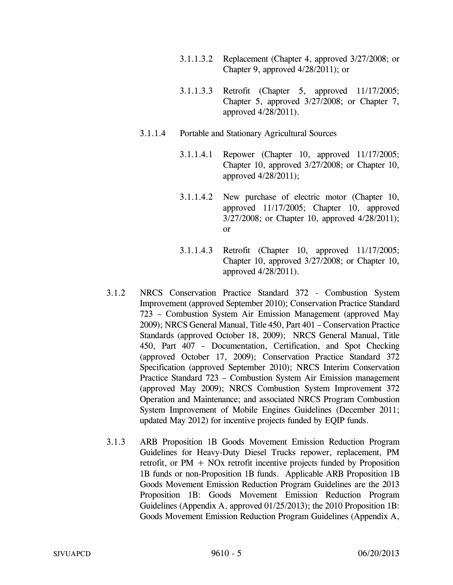- 3.1.1.3.2 Replacement (Chapter 4, approved 3/27/2008; or Chapter 9, approved 4/28/2011); or
- 3.1.1.3.3 Retrofit (Chapter 5, approved 11/17/2005; Chapter 5, approved 3/27/2008; or Chapter 7, approved 4/28/2011).
- 3.1.1.4 Portable and Stationary Agricultural Sources
	- 3.1.1.4.1 Repower (Chapter 10, approved 11/17/2005; Chapter 10, approved 3/27/2008; or Chapter 10, approved 4/28/2011);
	- 3.1.1.4.2 New purchase of electric motor (Chapter 10, approved 11/17/2005; Chapter 10, approved 3/27/2008; or Chapter 10, approved 4/28/2011); or
	- 3.1.1.4.3 Retrofit (Chapter 10, approved 11/17/2005; Chapter 10, approved 3/27/2008; or Chapter 10, approved 4/28/2011).
- 3.1.2 NRCS Conservation Practice Standard 372 Combustion System Improvement (approved September 2010); Conservation Practice Standard 723 – Combustion System Air Emission Management (approved May 2009); NRCS General Manual, Title 450, Part 401 – Conservation Practice Standards (approved October 18, 2009); NRCS General Manual, Title 450, Part 407 – Documentation, Certification, and Spot Checking (approved October 17, 2009); Conservation Practice Standard 372 Specification (approved September 2010); NRCS Interim Conservation Practice Standard 723 – Combustion System Air Emission management (approved May 2009); NRCS Combustion System Improvement 372 Operation and Maintenance; and associated NRCS Program Combustion System Improvement of Mobile Engines Guidelines (December 2011; updated May 2012) for incentive projects funded by EQIP funds.
- 3.1.3 ARB Proposition 1B Goods Movement Emission Reduction Program Guidelines for Heavy-Duty Diesel Trucks repower, replacement, PM retrofit, or  $PM + NOx$  retrofit incentive projects funded by Proposition 1B funds or non-Proposition 1B funds. Applicable ARB Proposition 1B Goods Movement Emission Reduction Program Guidelines are the 2013 Proposition 1B: Goods Movement Emission Reduction Program Guidelines (Appendix A, approved 01/25/2013); the 2010 Proposition 1B: Goods Movement Emission Reduction Program Guidelines (Appendix A,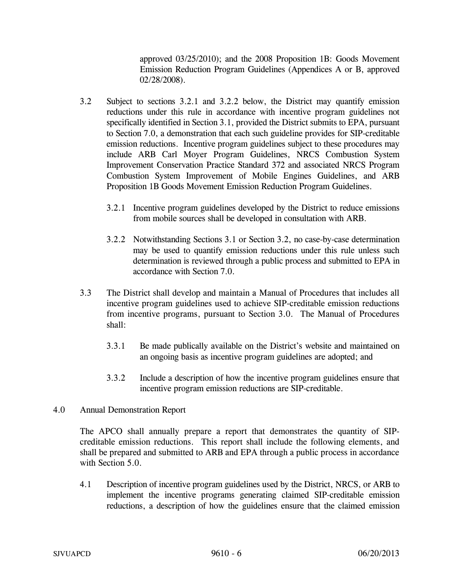approved 03/25/2010); and the 2008 Proposition 1B: Goods Movement Emission Reduction Program Guidelines (Appendices A or B, approved 02/28/2008).

- 3.2 Subject to sections 3.2.1 and 3.2.2 below, the District may quantify emission reductions under this rule in accordance with incentive program guidelines not specifically identified in Section 3.1, provided the District submits to EPA, pursuant to Section 7.0, a demonstration that each such guideline provides for SIP-creditable emission reductions. Incentive program guidelines subject to these procedures may include ARB Carl Moyer Program Guidelines, NRCS Combustion System Improvement Conservation Practice Standard 372 and associated NRCS Program Combustion System Improvement of Mobile Engines Guidelines, and ARB Proposition 1B Goods Movement Emission Reduction Program Guidelines.
	- 3.2.1 Incentive program guidelines developed by the District to reduce emissions from mobile sources shall be developed in consultation with ARB.
	- 3.2.2 Notwithstanding Sections 3.1 or Section 3.2, no case-by-case determination may be used to quantify emission reductions under this rule unless such determination is reviewed through a public process and submitted to EPA in accordance with Section 7.0.
- 3.3 The District shall develop and maintain a Manual of Procedures that includes all incentive program guidelines used to achieve SIP-creditable emission reductions from incentive programs, pursuant to Section 3.0. The Manual of Procedures shall:
	- 3.3.1 Be made publically available on the District's website and maintained on an ongoing basis as incentive program guidelines are adopted; and
	- 3.3.2 Include a description of how the incentive program guidelines ensure that incentive program emission reductions are SIP-creditable.

## 4.0 Annual Demonstration Report

The APCO shall annually prepare a report that demonstrates the quantity of SIPcreditable emission reductions. This report shall include the following elements, and shall be prepared and submitted to ARB and EPA through a public process in accordance with Section 5.0.

4.1 Description of incentive program guidelines used by the District, NRCS, or ARB to implement the incentive programs generating claimed SIP-creditable emission reductions, a description of how the guidelines ensure that the claimed emission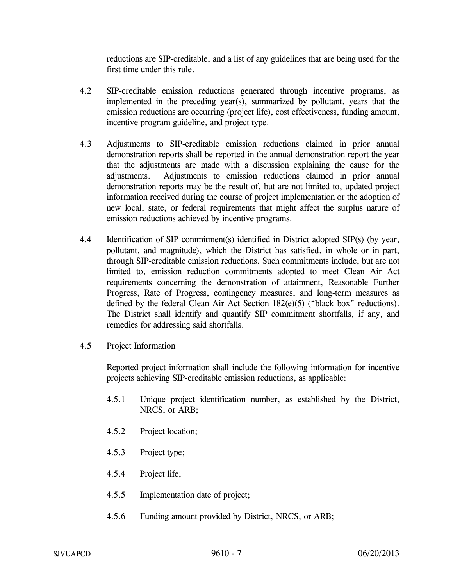reductions are SIP-creditable, and a list of any guidelines that are being used for the first time under this rule.

- 4.2 SIP-creditable emission reductions generated through incentive programs, as implemented in the preceding year(s), summarized by pollutant, years that the emission reductions are occurring (project life), cost effectiveness, funding amount, incentive program guideline, and project type.
- 4.3 Adjustments to SIP-creditable emission reductions claimed in prior annual demonstration reports shall be reported in the annual demonstration report the year that the adjustments are made with a discussion explaining the cause for the adjustments. Adjustments to emission reductions claimed in prior annual demonstration reports may be the result of, but are not limited to, updated project information received during the course of project implementation or the adoption of new local, state, or federal requirements that might affect the surplus nature of emission reductions achieved by incentive programs.
- 4.4 Identification of SIP commitment(s) identified in District adopted SIP(s) (by year, pollutant, and magnitude), which the District has satisfied, in whole or in part, through SIP-creditable emission reductions. Such commitments include, but are not limited to, emission reduction commitments adopted to meet Clean Air Act requirements concerning the demonstration of attainment, Reasonable Further Progress, Rate of Progress, contingency measures, and long-term measures as defined by the federal Clean Air Act Section 182(e)(5) ("black box" reductions). The District shall identify and quantify SIP commitment shortfalls, if any, and remedies for addressing said shortfalls.
- 4.5 Project Information

Reported project information shall include the following information for incentive projects achieving SIP-creditable emission reductions, as applicable:

- 4.5.1 Unique project identification number, as established by the District, NRCS, or ARB;
- 4.5.2 Project location;
- 4.5.3 Project type;
- 4.5.4 Project life;
- 4.5.5 Implementation date of project;
- 4.5.6 Funding amount provided by District, NRCS, or ARB;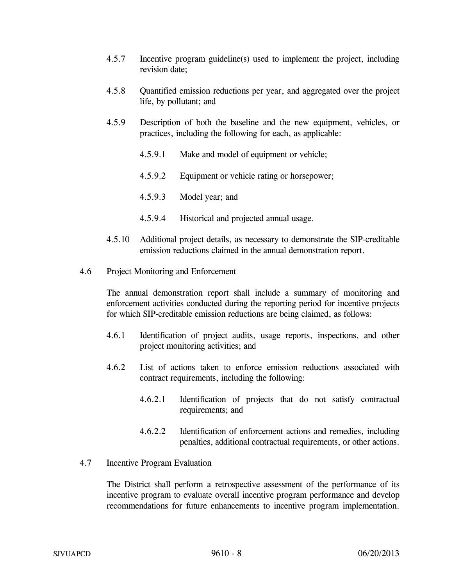- 4.5.7 Incentive program guideline(s) used to implement the project, including revision date;
- 4.5.8 Quantified emission reductions per year, and aggregated over the project life, by pollutant; and
- 4.5.9 Description of both the baseline and the new equipment, vehicles, or practices, including the following for each, as applicable:
	- 4.5.9.1 Make and model of equipment or vehicle;
	- 4.5.9.2 Equipment or vehicle rating or horsepower;
	- 4.5.9.3 Model year; and
	- 4.5.9.4 Historical and projected annual usage.
- 4.5.10 Additional project details, as necessary to demonstrate the SIP-creditable emission reductions claimed in the annual demonstration report.
- 4.6 Project Monitoring and Enforcement

The annual demonstration report shall include a summary of monitoring and enforcement activities conducted during the reporting period for incentive projects for which SIP-creditable emission reductions are being claimed, as follows:

- 4.6.1 Identification of project audits, usage reports, inspections, and other project monitoring activities; and
- 4.6.2 List of actions taken to enforce emission reductions associated with contract requirements, including the following:
	- 4.6.2.1 Identification of projects that do not satisfy contractual requirements; and
	- 4.6.2.2 Identification of enforcement actions and remedies, including penalties, additional contractual requirements, or other actions.
- 4.7 Incentive Program Evaluation

The District shall perform a retrospective assessment of the performance of its incentive program to evaluate overall incentive program performance and develop recommendations for future enhancements to incentive program implementation.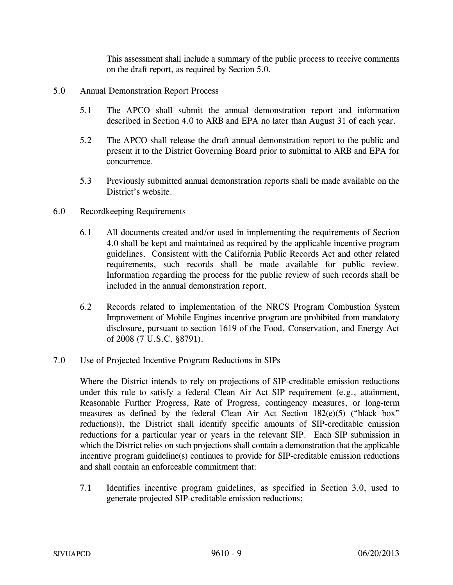This assessment shall include a summary of the public process to receive comments on the draft report, as required by Section 5.0.

- 5.0 Annual Demonstration Report Process
	- 5.1 The APCO shall submit the annual demonstration report and information described in Section 4.0 to ARB and EPA no later than August 31 of each year.
	- 5.2 The APCO shall release the draft annual demonstration report to the public and present it to the District Governing Board prior to submittal to ARB and EPA for concurrence.
	- 5.3 Previously submitted annual demonstration reports shall be made available on the District's website.
- 6.0 Recordkeeping Requirements
	- 6.1 All documents created and/or used in implementing the requirements of Section 4.0 shall be kept and maintained as required by the applicable incentive program guidelines. Consistent with the California Public Records Act and other related requirements, such records shall be made available for public review. Information regarding the process for the public review of such records shall be included in the annual demonstration report.
	- 6.2 Records related to implementation of the NRCS Program Combustion System Improvement of Mobile Engines incentive program are prohibited from mandatory disclosure, pursuant to section 1619 of the Food, Conservation, and Energy Act of 2008 (7 U.S.C. §8791).
- 7.0 Use of Projected Incentive Program Reductions in SIPs

Where the District intends to rely on projections of SIP-creditable emission reductions under this rule to satisfy a federal Clean Air Act SIP requirement (e.g., attainment, Reasonable Further Progress, Rate of Progress, contingency measures, or long-term measures as defined by the federal Clean Air Act Section 182(e)(5) ("black box" reductions)), the District shall identify specific amounts of SIP-creditable emission reductions for a particular year or years in the relevant SIP. Each SIP submission in which the District relies on such projections shall contain a demonstration that the applicable incentive program guideline(s) continues to provide for SIP-creditable emission reductions and shall contain an enforceable commitment that:

7.1 Identifies incentive program guidelines, as specified in Section 3.0, used to generate projected SIP-creditable emission reductions;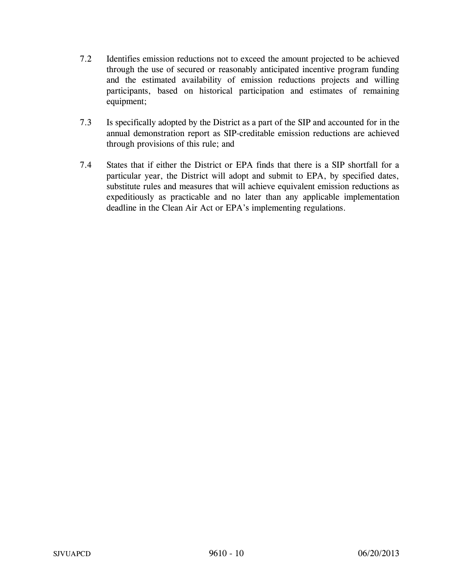- 7.2 Identifies emission reductions not to exceed the amount projected to be achieved through the use of secured or reasonably anticipated incentive program funding and the estimated availability of emission reductions projects and willing participants, based on historical participation and estimates of remaining equipment;
- 7.3 Is specifically adopted by the District as a part of the SIP and accounted for in the annual demonstration report as SIP-creditable emission reductions are achieved through provisions of this rule; and
- 7.4 States that if either the District or EPA finds that there is a SIP shortfall for a particular year, the District will adopt and submit to EPA, by specified dates, substitute rules and measures that will achieve equivalent emission reductions as expeditiously as practicable and no later than any applicable implementation deadline in the Clean Air Act or EPA's implementing regulations.